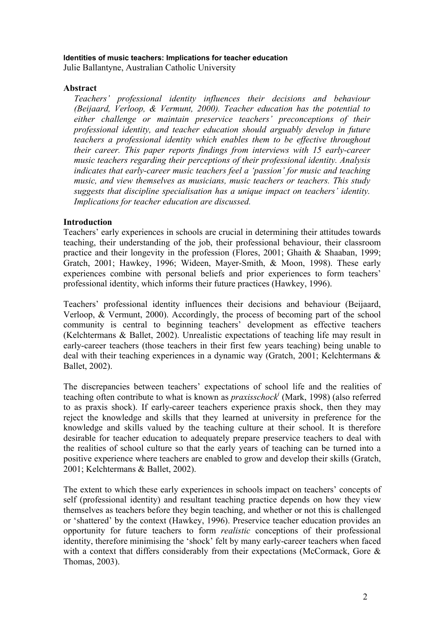#### **Identities of music teachers: Implications for teacher education**

Julie Ballantyne, Australian Catholic University

### **Abstract**

*Teachers' professional identity influences their decisions and behaviour (Beijaard, Verloop, & Vermunt, 2000). Teacher education has the potential to either challenge or maintain preservice teachers' preconceptions of their professional identity, and teacher education should arguably develop in future teachers a professional identity which enables them to be effective throughout their career. This paper reports findings from interviews with 15 early-career music teachers regarding their perceptions of their professional identity. Analysis indicates that early-career music teachers feel a 'passion' for music and teaching music, and view themselves as musicians, music teachers or teachers. This study suggests that discipline specialisation has a unique impact on teachers' identity. Implications for teacher education are discussed.* 

## **Introduction**

Teachers' early experiences in schools are crucial in determining their attitudes towards teaching, their understanding of the job, their professional behaviour, their classroom practice and their longevity in the profession (Flores, 2001; Ghaith & Shaaban, 1999; Gratch, 2001; Hawkey, 1996; Wideen, Mayer-Smith, & Moon, 1998). These early experiences combine with personal beliefs and prior experiences to form teachers' professional identity, which informs their future practices (Hawkey, 1996).

Teachers' professional identity influences their decisions and behaviour (Beijaard, Verloop, & Vermunt, 2000). Accordingly, the process of becoming part of the school community is central to beginning teachers' development as effective teachers (Kelchtermans & Ballet, 2002). Unrealistic expectations of teaching life may result in early-career teachers (those teachers in their first few years teaching) being unable to deal with their teaching experiences in a dynamic way (Gratch, 2001; Kelchtermans & Ballet, 2002).

The discrepancies between teachers' expectations of school life and the realities of teaching often contribute to what is known as *praxisschocki* (Mark, 1998) (also referred to as praxis shock). If early-career teachers experience praxis shock, then they may reject the knowledge and skills that they learned at university in preference for the knowledge and skills valued by the teaching culture at their school. It is therefore desirable for teacher education to adequately prepare preservice teachers to deal with the realities of school culture so that the early years of teaching can be turned into a positive experience where teachers are enabled to grow and develop their skills (Gratch, 2001; Kelchtermans & Ballet, 2002).

The extent to which these early experiences in schools impact on teachers' concepts of self (professional identity) and resultant teaching practice depends on how they view themselves as teachers before they begin teaching, and whether or not this is challenged or 'shattered' by the context (Hawkey, 1996). Preservice teacher education provides an opportunity for future teachers to form *realistic* conceptions of their professional identity, therefore minimising the 'shock' felt by many early-career teachers when faced with a context that differs considerably from their expectations (McCormack, Gore  $\&$ Thomas, 2003).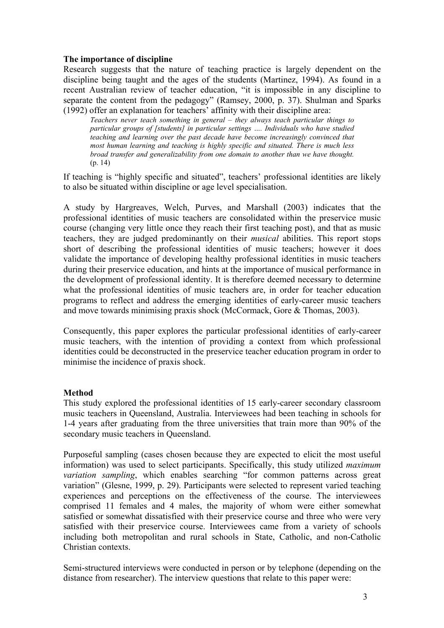## **The importance of discipline**

Research suggests that the nature of teaching practice is largely dependent on the discipline being taught and the ages of the students (Martinez, 1994). As found in a recent Australian review of teacher education, "it is impossible in any discipline to separate the content from the pedagogy" (Ramsey, 2000, p. 37). Shulman and Sparks (1992) offer an explanation for teachers' affinity with their discipline area:

*Teachers never teach something in general – they always teach particular things to particular groups of [students] in particular settings …. Individuals who have studied teaching and learning over the past decade have become increasingly convinced that most human learning and teaching is highly specific and situated. There is much less broad transfer and generalizability from one domain to another than we have thought.* (p. 14)

If teaching is "highly specific and situated", teachers' professional identities are likely to also be situated within discipline or age level specialisation.

A study by Hargreaves, Welch, Purves, and Marshall (2003) indicates that the professional identities of music teachers are consolidated within the preservice music course (changing very little once they reach their first teaching post), and that as music teachers, they are judged predominantly on their *musical* abilities. This report stops short of describing the professional identities of music teachers; however it does validate the importance of developing healthy professional identities in music teachers during their preservice education, and hints at the importance of musical performance in the development of professional identity. It is therefore deemed necessary to determine what the professional identities of music teachers are, in order for teacher education programs to reflect and address the emerging identities of early-career music teachers and move towards minimising praxis shock (McCormack, Gore & Thomas, 2003).

Consequently, this paper explores the particular professional identities of early-career music teachers, with the intention of providing a context from which professional identities could be deconstructed in the preservice teacher education program in order to minimise the incidence of praxis shock.

# **Method**

This study explored the professional identities of 15 early-career secondary classroom music teachers in Queensland, Australia. Interviewees had been teaching in schools for 1-4 years after graduating from the three universities that train more than 90% of the secondary music teachers in Queensland.

Purposeful sampling (cases chosen because they are expected to elicit the most useful information) was used to select participants. Specifically, this study utilized *maximum variation sampling*, which enables searching "for common patterns across great variation" (Glesne, 1999, p. 29). Participants were selected to represent varied teaching experiences and perceptions on the effectiveness of the course. The interviewees comprised 11 females and 4 males, the majority of whom were either somewhat satisfied or somewhat dissatisfied with their preservice course and three who were very satisfied with their preservice course. Interviewees came from a variety of schools including both metropolitan and rural schools in State, Catholic, and non-Catholic Christian contexts.

Semi-structured interviews were conducted in person or by telephone (depending on the distance from researcher). The interview questions that relate to this paper were: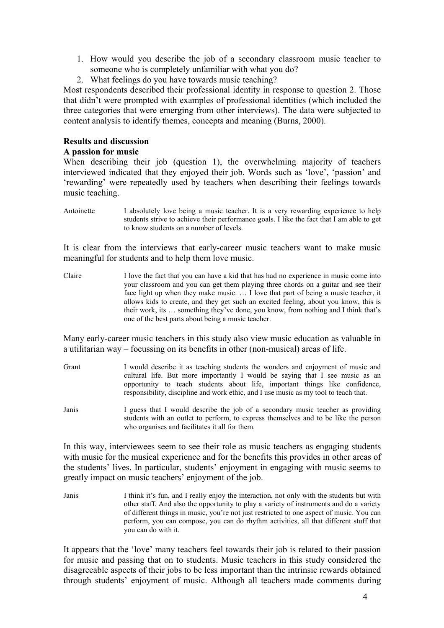- 1. How would you describe the job of a secondary classroom music teacher to someone who is completely unfamiliar with what you do?
- 2. What feelings do you have towards music teaching?

Most respondents described their professional identity in response to question 2. Those that didn't were prompted with examples of professional identities (which included the three categories that were emerging from other interviews). The data were subjected to content analysis to identify themes, concepts and meaning (Burns, 2000).

## **Results and discussion**

## **A passion for music**

When describing their job (question 1), the overwhelming majority of teachers interviewed indicated that they enjoyed their job. Words such as 'love', 'passion' and 'rewarding' were repeatedly used by teachers when describing their feelings towards music teaching.

Antoinette I absolutely love being a music teacher. It is a very rewarding experience to help students strive to achieve their performance goals. I like the fact that I am able to get to know students on a number of levels.

It is clear from the interviews that early-career music teachers want to make music meaningful for students and to help them love music.

Claire I love the fact that you can have a kid that has had no experience in music come into your classroom and you can get them playing three chords on a guitar and see their face light up when they make music. ... I love that part of being a music teacher, it allows kids to create, and they get such an excited feeling, about you know, this is their work, its … something they've done, you know, from nothing and I think that's one of the best parts about being a music teacher.

Many early-career music teachers in this study also view music education as valuable in a utilitarian way – focussing on its benefits in other (non-musical) areas of life.

- Grant I would describe it as teaching students the wonders and enjoyment of music and cultural life. But more importantly I would be saying that I see music as an opportunity to teach students about life, important things like confidence, responsibility, discipline and work ethic, and I use music as my tool to teach that.
- Janis I guess that I would describe the job of a secondary music teacher as providing students with an outlet to perform, to express themselves and to be like the person who organises and facilitates it all for them.

In this way, interviewees seem to see their role as music teachers as engaging students with music for the musical experience and for the benefits this provides in other areas of the students' lives. In particular, students' enjoyment in engaging with music seems to greatly impact on music teachers' enjoyment of the job.

Janis I think it's fun, and I really enjoy the interaction, not only with the students but with other staff. And also the opportunity to play a variety of instruments and do a variety of different things in music, you're not just restricted to one aspect of music. You can perform, you can compose, you can do rhythm activities, all that different stuff that you can do with it.

It appears that the 'love' many teachers feel towards their job is related to their passion for music and passing that on to students. Music teachers in this study considered the disagreeable aspects of their jobs to be less important than the intrinsic rewards obtained through students' enjoyment of music. Although all teachers made comments during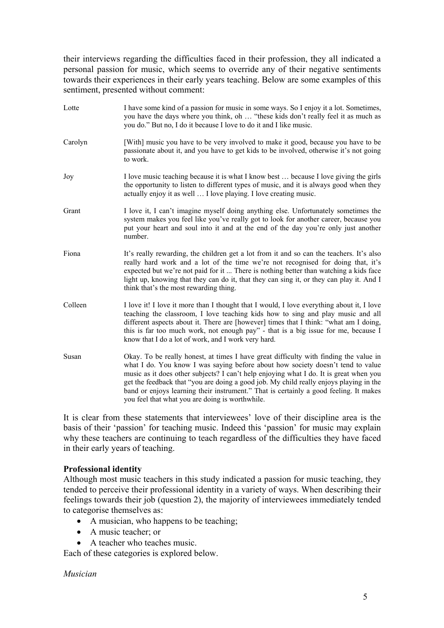their interviews regarding the difficulties faced in their profession, they all indicated a personal passion for music, which seems to override any of their negative sentiments towards their experiences in their early years teaching. Below are some examples of this sentiment, presented without comment:

Lotte I have some kind of a passion for music in some ways. So I enjoy it a lot. Sometimes, you have the days where you think, oh … "these kids don't really feel it as much as you do." But no, I do it because I love to do it and I like music. Carolyn [With] music you have to be very involved to make it good, because you have to be passionate about it, and you have to get kids to be involved, otherwise it's not going to work. Joy I love music teaching because it is what I know best … because I love giving the girls the opportunity to listen to different types of music, and it is always good when they actually enjoy it as well … I love playing. I love creating music. Grant I love it, I can't imagine myself doing anything else. Unfortunately sometimes the system makes you feel like you've really got to look for another career, because you put your heart and soul into it and at the end of the day you're only just another number. Fiona It's really rewarding, the children get a lot from it and so can the teachers. It's also really hard work and a lot of the time we're not recognised for doing that, it's expected but we're not paid for it ... There is nothing better than watching a kids face light up, knowing that they can do it, that they can sing it, or they can play it. And I think that's the most rewarding thing. Colleen I love it! I love it more than I thought that I would, I love everything about it, I love teaching the classroom, I love teaching kids how to sing and play music and all different aspects about it. There are [however] times that I think: "what am I doing, this is far too much work, not enough pay" - that is a big issue for me, because I know that I do a lot of work, and I work very hard. Susan Okay. To be really honest, at times I have great difficulty with finding the value in what I do. You know I was saying before about how society doesn't tend to value music as it does other subjects? I can't help enjoying what I do. It is great when you get the feedback that "you are doing a good job. My child really enjoys playing in the band or enjoys learning their instrument." That is certainly a good feeling. It makes you feel that what you are doing is worthwhile.

It is clear from these statements that interviewees' love of their discipline area is the basis of their 'passion' for teaching music. Indeed this 'passion' for music may explain why these teachers are continuing to teach regardless of the difficulties they have faced in their early years of teaching.

## **Professional identity**

Although most music teachers in this study indicated a passion for music teaching, they tended to perceive their professional identity in a variety of ways. When describing their feelings towards their job (question 2), the majority of interviewees immediately tended to categorise themselves as:

- A musician, who happens to be teaching;
- A music teacher; or
- A teacher who teaches music.

Each of these categories is explored below.

*Musician*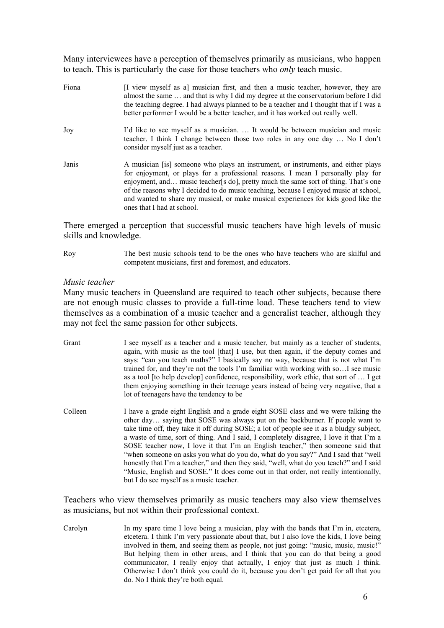Many interviewees have a perception of themselves primarily as musicians, who happen to teach. This is particularly the case for those teachers who *only* teach music.

Fiona **I**I view myself as al musician first, and then a music teacher, however, they are almost the same … and that is why I did my degree at the conservatorium before I did the teaching degree. I had always planned to be a teacher and I thought that if I was a better performer I would be a better teacher, and it has worked out really well. Joy I'd like to see myself as a musician. … It would be between musician and music teacher. I think I change between those two roles in any one day … No I don't consider myself just as a teacher. Janis A musician [is] someone who plays an instrument, or instruments, and either plays for enjoyment, or plays for a professional reasons. I mean I personally play for enjoyment, and... music teacher[s do], pretty much the same sort of thing. That's one of the reasons why I decided to do music teaching, because I enjoyed music at school, and wanted to share my musical, or make musical experiences for kids good like the ones that I had at school.

There emerged a perception that successful music teachers have high levels of music skills and knowledge.

Roy The best music schools tend to be the ones who have teachers who are skilful and competent musicians, first and foremost, and educators.

#### *Music teacher*

Many music teachers in Queensland are required to teach other subjects, because there are not enough music classes to provide a full-time load. These teachers tend to view themselves as a combination of a music teacher and a generalist teacher, although they may not feel the same passion for other subjects.

- Grant I see myself as a teacher and a music teacher, but mainly as a teacher of students, again, with music as the tool [that] I use, but then again, if the deputy comes and says: "can you teach maths?" I basically say no way, because that is not what I'm trained for, and they're not the tools I'm familiar with working with so…I see music as a tool [to help develop] confidence, responsibility, work ethic, that sort of … I get them enjoying something in their teenage years instead of being very negative, that a lot of teenagers have the tendency to be
- Colleen I have a grade eight English and a grade eight SOSE class and we were talking the other day… saying that SOSE was always put on the backburner. If people want to take time off, they take it off during SOSE; a lot of people see it as a bludgy subject, a waste of time, sort of thing. And I said, I completely disagree, I love it that I'm a SOSE teacher now, I love it that I'm an English teacher," then someone said that "when someone on asks you what do you do, what do you say?" And I said that "well honestly that I'm a teacher," and then they said, "well, what do you teach?" and I said "Music, English and SOSE." It does come out in that order, not really intentionally, but I do see myself as a music teacher.

Teachers who view themselves primarily as music teachers may also view themselves as musicians, but not within their professional context.

Carolyn In my spare time I love being a musician, play with the bands that I'm in, etcetera, etcetera. I think I'm very passionate about that, but I also love the kids, I love being involved in them, and seeing them as people, not just going: "music, music, music!" But helping them in other areas, and I think that you can do that being a good communicator, I really enjoy that actually, I enjoy that just as much I think. Otherwise I don't think you could do it, because you don't get paid for all that you do. No I think they're both equal.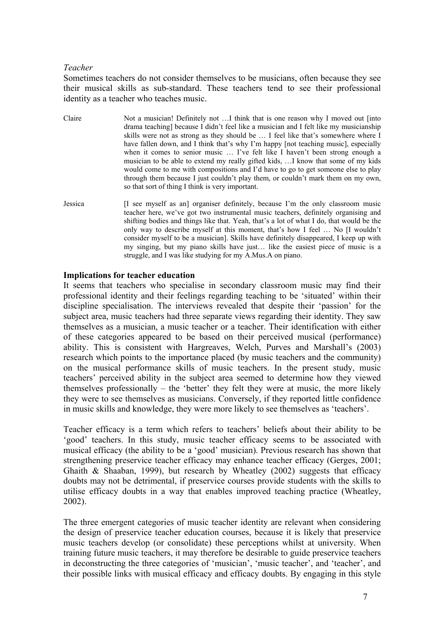### *Teacher*

Sometimes teachers do not consider themselves to be musicians, often because they see their musical skills as sub-standard. These teachers tend to see their professional identity as a teacher who teaches music.

- Claire Not a musician! Definitely not ... I think that is one reason why I moved out [into drama teaching] because I didn't feel like a musician and I felt like my musicianship skills were not as strong as they should be … I feel like that's somewhere where I have fallen down, and I think that's why I'm happy [not teaching music], especially when it comes to senior music … I've felt like I haven't been strong enough a musician to be able to extend my really gifted kids, …I know that some of my kids would come to me with compositions and I'd have to go to get someone else to play through them because I just couldn't play them, or couldn't mark them on my own, so that sort of thing I think is very important.
- Jessica [I see myself as an] organiser definitely, because I'm the only classroom music teacher here, we've got two instrumental music teachers, definitely organising and shifting bodies and things like that. Yeah, that's a lot of what I do, that would be the only way to describe myself at this moment, that's how I feel … No [I wouldn't consider myself to be a musician]. Skills have definitely disappeared, I keep up with my singing, but my piano skills have just… like the easiest piece of music is a struggle, and I was like studying for my A.Mus.A on piano.

### **Implications for teacher education**

It seems that teachers who specialise in secondary classroom music may find their professional identity and their feelings regarding teaching to be 'situated' within their discipline specialisation. The interviews revealed that despite their 'passion' for the subject area, music teachers had three separate views regarding their identity. They saw themselves as a musician, a music teacher or a teacher. Their identification with either of these categories appeared to be based on their perceived musical (performance) ability. This is consistent with Hargreaves, Welch, Purves and Marshall's (2003) research which points to the importance placed (by music teachers and the community) on the musical performance skills of music teachers. In the present study, music teachers' perceived ability in the subject area seemed to determine how they viewed themselves professionally – the 'better' they felt they were at music, the more likely they were to see themselves as musicians. Conversely, if they reported little confidence in music skills and knowledge, they were more likely to see themselves as 'teachers'.

Teacher efficacy is a term which refers to teachers' beliefs about their ability to be 'good' teachers. In this study, music teacher efficacy seems to be associated with musical efficacy (the ability to be a 'good' musician). Previous research has shown that strengthening preservice teacher efficacy may enhance teacher efficacy (Gerges, 2001; Ghaith  $\&$  Shaaban, 1999), but research by Wheatley (2002) suggests that efficacy doubts may not be detrimental, if preservice courses provide students with the skills to utilise efficacy doubts in a way that enables improved teaching practice (Wheatley, 2002).

The three emergent categories of music teacher identity are relevant when considering the design of preservice teacher education courses, because it is likely that preservice music teachers develop (or consolidate) these perceptions whilst at university. When training future music teachers, it may therefore be desirable to guide preservice teachers in deconstructing the three categories of 'musician', 'music teacher', and 'teacher', and their possible links with musical efficacy and efficacy doubts. By engaging in this style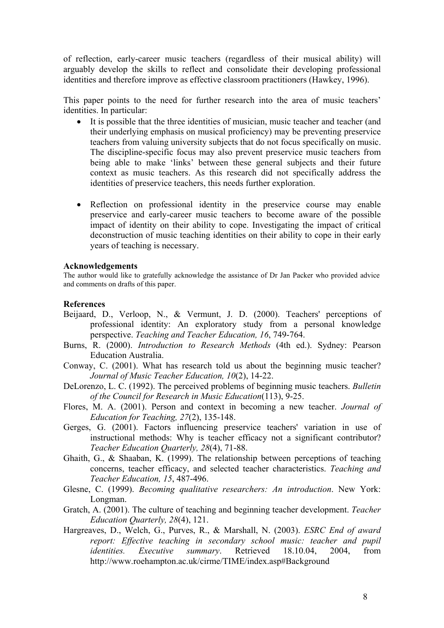of reflection, early-career music teachers (regardless of their musical ability) will arguably develop the skills to reflect and consolidate their developing professional identities and therefore improve as effective classroom practitioners (Hawkey, 1996).

This paper points to the need for further research into the area of music teachers' identities. In particular:

- It is possible that the three identities of musician, music teacher and teacher (and their underlying emphasis on musical proficiency) may be preventing preservice teachers from valuing university subjects that do not focus specifically on music. The discipline-specific focus may also prevent preservice music teachers from being able to make 'links' between these general subjects and their future context as music teachers. As this research did not specifically address the identities of preservice teachers, this needs further exploration.
- Reflection on professional identity in the preservice course may enable preservice and early-career music teachers to become aware of the possible impact of identity on their ability to cope. Investigating the impact of critical deconstruction of music teaching identities on their ability to cope in their early years of teaching is necessary.

#### **Acknowledgements**

The author would like to gratefully acknowledge the assistance of Dr Jan Packer who provided advice and comments on drafts of this paper.

#### **References**

- Beijaard, D., Verloop, N., & Vermunt, J. D. (2000). Teachers' perceptions of professional identity: An exploratory study from a personal knowledge perspective. *Teaching and Teacher Education, 16*, 749-764.
- Burns, R. (2000). *Introduction to Research Methods* (4th ed.). Sydney: Pearson Education Australia.
- Conway, C. (2001). What has research told us about the beginning music teacher? *Journal of Music Teacher Education, 10*(2), 14-22.
- DeLorenzo, L. C. (1992). The perceived problems of beginning music teachers. *Bulletin of the Council for Research in Music Education*(113), 9-25.
- Flores, M. A. (2001). Person and context in becoming a new teacher. *Journal of Education for Teaching, 27*(2), 135-148.
- Gerges, G. (2001). Factors influencing preservice teachers' variation in use of instructional methods: Why is teacher efficacy not a significant contributor? *Teacher Education Quarterly, 28*(4), 71-88.
- Ghaith, G., & Shaaban, K. (1999). The relationship between perceptions of teaching concerns, teacher efficacy, and selected teacher characteristics. *Teaching and Teacher Education, 15*, 487-496.
- Glesne, C. (1999). *Becoming qualitative researchers: An introduction*. New York: Longman.
- Gratch, A. (2001). The culture of teaching and beginning teacher development. *Teacher Education Quarterly, 28*(4), 121.
- Hargreaves, D., Welch, G., Purves, R., & Marshall, N. (2003). *ESRC End of award report: Effective teaching in secondary school music: teacher and pupil identities. Executive summary*. Retrieved 18.10.04, 2004, from http://www.roehampton.ac.uk/cirme/TIME/index.asp#Background